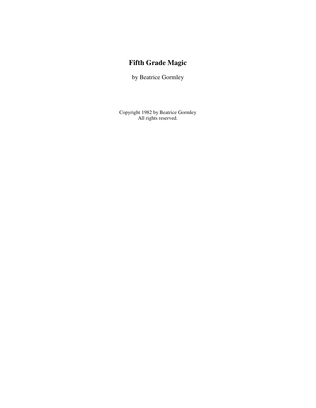## **Fifth Grade Magic**

by Beatrice Gormley

Copyright 1982 by Beatrice Gormley All rights reserved.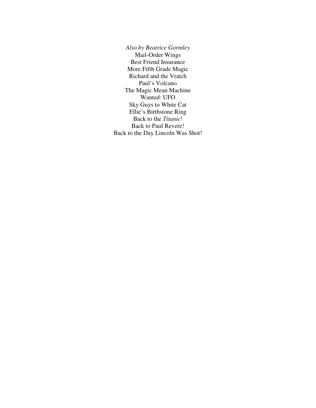*Also by Beatrice Gormley*  Mail-Order Wings Best Friend Insurance More Fifth Grade Magic Richard and the Vratch Paul's Volcano The Magic Mean Machine Wanted: UFO Sky Guys to White Cat Ellie's Birthstone Ring Back to the *Titanic*! Back to Paul Revere! Back to the Day Lincoln Was Shot!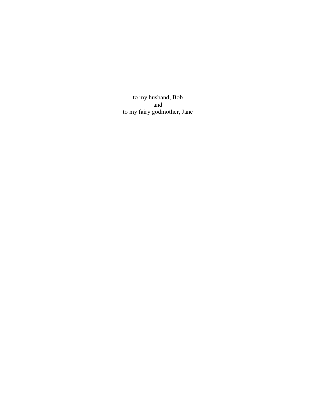to my husband, Bob and to my fairy godmother, Jane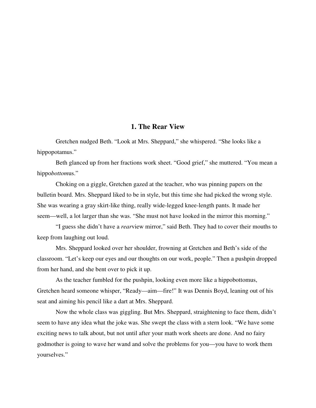## **1. The Rear View**

 Gretchen nudged Beth. "Look at Mrs. Sheppard," she whispered. "She looks like a hippopotamus."

 Beth glanced up from her fractions work sheet. "Good grief," she muttered. "You mean a hippo*bottom*us."

 Choking on a giggle, Gretchen gazed at the teacher, who was pinning papers on the bulletin board. Mrs. Sheppard liked to be in style, but this time she had picked the wrong style. She was wearing a gray skirt-like thing, really wide-legged knee-length pants. It made her seem—well, a lot larger than she was. "She must not have looked in the mirror this morning."

 "I guess she didn't have a *rear*view mirror," said Beth. They had to cover their mouths to keep from laughing out loud.

 Mrs. Sheppard looked over her shoulder, frowning at Gretchen and Beth's side of the classroom. "Let's keep our eyes and our thoughts on our work, people." Then a pushpin dropped from her hand, and she bent over to pick it up.

 As the teacher fumbled for the pushpin, looking even more like a hippobottomus, Gretchen heard someone whisper, "Ready—aim—fire!" It was Dennis Boyd, leaning out of his seat and aiming his pencil like a dart at Mrs. Sheppard.

 Now the whole class was giggling. But Mrs. Sheppard, straightening to face them, didn't seem to have any idea what the joke was. She swept the class with a stern look. "We have some exciting news to talk about, but not until after your math work sheets are done. And no fairy godmother is going to wave her wand and solve the problems for you—you have to work them yourselves."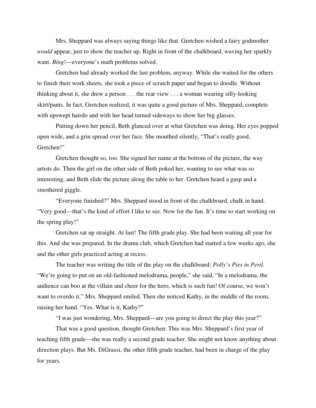Mrs. Sheppard was always saying things like that. Gretchen wished a fairy godmother *would* appear, just to show the teacher up. Right in front of the chalkboard, waving her sparkly want. *Bing*!—everyone's math problems solved.

 Gretchen had already worked the last problem, anyway. While she waited for the others to finish their work sheets, she took a piece of scratch paper and began to doodle. Without thinking about it, she drew a person . . . the rear view . . . a woman wearing silly-looking skirt/pants. In fact, Gretchen realized, it was quite a good picture of Mrs. Sheppard, complete with upswept hairdo and with her head turned sideways to show her big glasses.

 Putting down her pencil, Beth glanced over at what Gretchen was doing. Her eyes popped open wide, and a grin spread over her face. She mouthed silently, "That's really good, Gretchen!"

 Gretchen thought so, too. She signed her name at the bottom of the picture, the way artists do. Then the girl on the other side of Beth poked her, wanting to see what was so interesting, and Beth slide the picture along the table to her. Gretchen heard a gasp and a smothered giggle.

 "Everyone finished?" Mrs. Sheppard stood in front of the chalkboard, chalk in hand. "Very good—that's the kind of effort I like to see. Now for the fun. It's time to start working on the spring play!"

 Gretchen sat up straight. At last! The fifth grade play. She had been waiting all year for this. And she was prepared. In the drama club, which Gretchen had started a few weeks ago, she and the other girls practiced acting at recess.

 The teacher was writing the title of the play on the chalkboard: *Polly's Pies in Peril.* "We're going to put on an old-fashioned melodrama, people," she said, "In a melodrama, the audience can boo at the villain and cheer for the hero, which is such fun! Of course, we won't want to overdo it." Mrs. Sheppard smiled. Then she noticed Kathy, in the middle of the room, raising her hand. "Yes. What is it, Kathy?"

"I was just wondering, Mrs. Sheppard—are you going to direct the play this year?"

 That was a good question, thought Gretchen. This was Mrs. Sheppard's first year of teaching fifth grade—she was really a second grade teacher. She might not know anything about direction plays. But Ms. DiGrassi, the other fifth grade teacher, had been in charge of the play for years.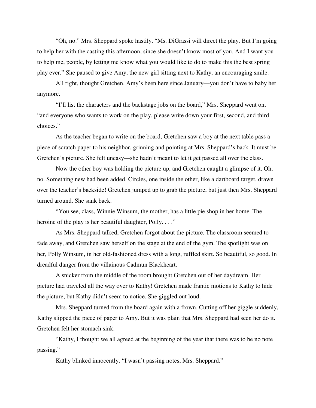"Oh, no." Mrs. Sheppard spoke hastily. "Ms. DiGrassi will direct the play. But I'm going to help her with the casting this afternoon, since she doesn't know most of you. And I want you to help me, people, by letting me know what you would like to do to make this the best spring play ever." She paused to give Amy, the new girl sitting next to Kathy, an encouraging smile.

 All right, thought Gretchen. Amy's been here since January—you don't have to baby her anymore.

 "I'll list the characters and the backstage jobs on the board," Mrs. Sheppard went on, "and everyone who wants to work on the play, please write down your first, second, and third choices."

 As the teacher began to write on the board, Gretchen saw a boy at the next table pass a piece of scratch paper to his neighbor, grinning and pointing at Mrs. Sheppard's back. It must be Gretchen's picture. She felt uneasy—she hadn't meant to let it get passed all over the class.

 Now the other boy was holding the picture up, and Gretchen caught a glimpse of it. Oh, no. Something new had been added. Circles, one inside the other, like a dartboard target, drawn over the teacher's backside! Gretchen jumped up to grab the picture, but just then Mrs. Sheppard turned around. She sank back.

 "You see, class, Winnie Winsum, the mother, has a little pie shop in her home. The heroine of the play is her beautiful daughter, Polly. . . ."

 As Mrs. Sheppard talked, Gretchen forgot about the picture. The classroom seemed to fade away, and Gretchen saw herself on the stage at the end of the gym. The spotlight was on her, Polly Winsum, in her old-fashioned dress with a long, ruffled skirt. So beautiful, so good. In dreadful danger from the villainous Cadmun Blackheart.

 A snicker from the middle of the room brought Gretchen out of her daydream. Her picture had traveled all the way over to Kathy! Gretchen made frantic motions to Kathy to hide the picture, but Kathy didn't seem to notice. She giggled out loud.

 Mrs. Sheppard turned from the board again with a frown. Cutting off her giggle suddenly, Kathy slipped the piece of paper to Amy. But it was plain that Mrs. Sheppard had seen her do it. Gretchen felt her stomach sink.

 "Kathy, I thought we all agreed at the beginning of the year that there was to be no note passing."

Kathy blinked innocently. "I wasn't passing notes, Mrs. Sheppard."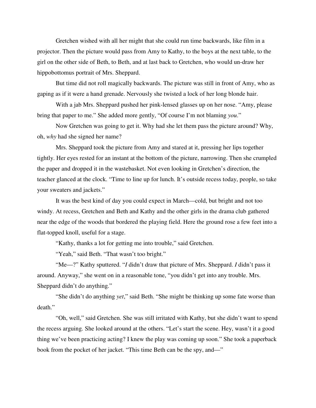Gretchen wished with all her might that she could run time backwards, like film in a projector. Then the picture would pass from Amy to Kathy, to the boys at the next table, to the girl on the other side of Beth, to Beth, and at last back to Gretchen, who would un-draw her hippobottomus portrait of Mrs. Sheppard.

 But time did not roll magically backwards. The picture was still in front of Amy, who as gaping as if it were a hand grenade. Nervously she twisted a lock of her long blonde hair.

 With a jab Mrs. Sheppard pushed her pink-lensed glasses up on her nose. "Amy, please bring that paper to me." She added more gently, "Of course I'm not blaming *you*."

 Now Gretchen was going to get it. Why had she let them pass the picture around? Why, oh, *why* had she signed her name?

 Mrs. Sheppard took the picture from Amy and stared at it, pressing her lips together tightly. Her eyes rested for an instant at the bottom of the picture, narrowing. Then she crumpled the paper and dropped it in the wastebasket. Not even looking in Gretchen's direction, the teacher glanced at the clock. "Time to line up for lunch. It's outside recess today, people, so take your sweaters and jackets."

 It was the best kind of day you could expect in March—cold, but bright and not too windy. At recess, Gretchen and Beth and Kathy and the other girls in the drama club gathered near the edge of the woods that bordered the playing field. Here the ground rose a few feet into a flat-topped knoll, useful for a stage.

"Kathy, thanks a lot for getting me into trouble," said Gretchen.

"Yeah," said Beth. "That wasn't too bright."

 "Me—?" Kathy sputtered. "*I* didn't draw that picture of Mrs. Sheppard. *I* didn't pass it around. Anyway," she went on in a reasonable tone, "you didn't get into any trouble. Mrs. Sheppard didn't do anything."

 "She didn't do anything *yet*," said Beth. "She might be thinking up some fate worse than death."

 "Oh, well," said Gretchen. She was still irritated with Kathy, but she didn't want to spend the recess arguing. She looked around at the others. "Let's start the scene. Hey, wasn't it a good thing we've been practicing acting? I knew the play was coming up soon." She took a paperback book from the pocket of her jacket. "This time Beth can be the spy, and—"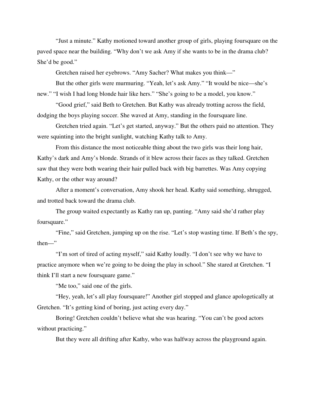"Just a minute." Kathy motioned toward another group of girls, playing foursquare on the paved space near the building. "Why don't we ask Amy if she wants to be in the drama club? She'd be good."

Gretchen raised her eyebrows. "Amy Sacher? What makes you think—"

 But the other girls were murmuring. "Yeah, let's ask Amy." "It would be nice—she's new." "I wish I had long blonde hair like hers." "She's going to be a model, you know."

 "Good grief," said Beth to Gretchen. But Kathy was already trotting across the field, dodging the boys playing soccer. She waved at Amy, standing in the foursquare line.

 Gretchen tried again. "Let's get started, anyway." But the others paid no attention. They were squinting into the bright sunlight, watching Kathy talk to Amy.

 From this distance the most noticeable thing about the two girls was their long hair, Kathy's dark and Amy's blonde. Strands of it blew across their faces as they talked. Gretchen saw that they were both wearing their hair pulled back with big barrettes. Was Amy copying Kathy, or the other way around?

 After a moment's conversation, Amy shook her head. Kathy said something, shrugged, and trotted back toward the drama club.

 The group waited expectantly as Kathy ran up, panting. "Amy said she'd rather play foursquare."

 "Fine," said Gretchen, jumping up on the rise. "Let's stop wasting time. If Beth's the spy, then—"

 "I'm sort of tired of acting myself," said Kathy loudly. "I don't see why we have to practice anymore when we're going to be doing the play in school." She stared at Gretchen. "I think I'll start a new foursquare game."

"Me too," said one of the girls.

 "Hey, yeah, let's all play foursquare!" Another girl stopped and glance apologetically at Gretchen. "It's getting kind of boring, just acting every day."

 Boring! Gretchen couldn't believe what she was hearing. "You can't be good actors without practicing."

But they were all drifting after Kathy, who was halfway across the playground again.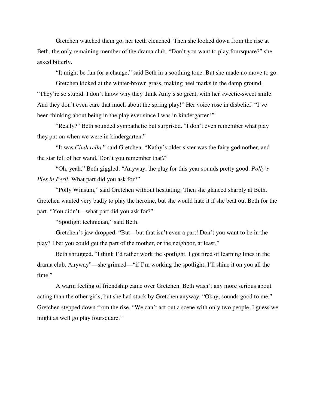Gretchen watched them go, her teeth clenched. Then she looked down from the rise at Beth, the only remaining member of the drama club. "Don't you want to play foursquare?" she asked bitterly.

"It might be fun for a change," said Beth in a soothing tone. But she made no move to go.

 Gretchen kicked at the winter-brown grass, making heel marks in the damp ground. "They're so stupid. I don't know why they think Amy's so great, with her sweetie-sweet smile. And they don't even care that much about the spring play!" Her voice rose in disbelief. "I've been thinking about being in the play ever since I was in kindergarten!"

 "Really?" Beth sounded sympathetic but surprised. "I don't even remember what play they put on when we were in kindergarten."

 "It was *Cinderella,*" said Gretchen. "Kathy's older sister was the fairy godmother, and the star fell of her wand. Don't you remember that?"

 "Oh, yeah." Beth giggled. "Anyway, the play for this year sounds pretty good. *Polly's Pies in Peril.* What part did you ask for?"

 "Polly Winsum," said Gretchen without hesitating. Then she glanced sharply at Beth. Gretchen wanted very badly to play the heroine, but she would hate it if she beat out Beth for the part. "You didn't—what part did you ask for?"

"Spotlight technician," said Beth.

 Gretchen's jaw dropped. "But—but that isn't even a part! Don't you want to be in the play? I bet you could get the part of the mother, or the neighbor, at least."

 Beth shrugged. "I think I'd rather work the spotlight. I got tired of learning lines in the drama club. Anyway"—she grinned—"if I'm working the spotlight, I'll shine it on you all the time."

 A warm feeling of friendship came over Gretchen. Beth wasn't any more serious about acting than the other girls, but she had stuck by Gretchen anyway. "Okay, sounds good to me." Gretchen stepped down from the rise. "We can't act out a scene with only two people. I guess we might as well go play foursquare."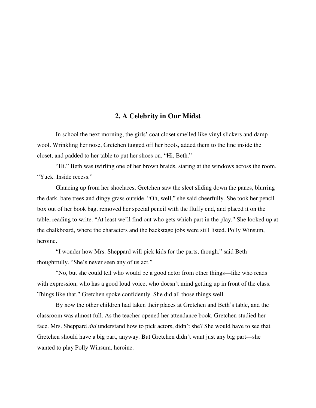## **2. A Celebrity in Our Midst**

 In school the next morning, the girls' coat closet smelled like vinyl slickers and damp wool. Wrinkling her nose, Gretchen tugged off her boots, added them to the line inside the closet, and padded to her table to put her shoes on. "Hi, Beth."

 "Hi." Beth was twirling one of her brown braids, staring at the windows across the room. "Yuck. Inside recess."

 Glancing up from her shoelaces, Gretchen saw the sleet sliding down the panes, blurring the dark, bare trees and dingy grass outside. "Oh, well," she said cheerfully. She took her pencil box out of her book bag, removed her special pencil with the fluffy end, and placed it on the table, reading to write. "At least we'll find out who gets which part in the play." She looked up at the chalkboard, where the characters and the backstage jobs were still listed. Polly Winsum, heroine.

 "I wonder how Mrs. Sheppard will pick kids for the parts, though," said Beth thoughtfully. "She's never seen any of us act."

 "No, but she could tell who would be a good actor from other things—like who reads with expression, who has a good loud voice, who doesn't mind getting up in front of the class. Things like that." Gretchen spoke confidently. She did all those things well.

 By now the other children had taken their places at Gretchen and Beth's table, and the classroom was almost full. As the teacher opened her attendance book, Gretchen studied her face. Mrs. Sheppard *did* understand how to pick actors, didn't she? She would have to see that Gretchen should have a big part, anyway. But Gretchen didn't want just any big part—she wanted to play Polly Winsum, heroine.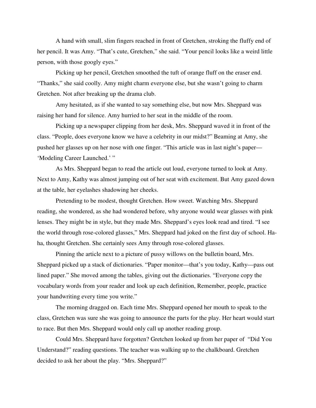A hand with small, slim fingers reached in front of Gretchen, stroking the fluffy end of her pencil. It was Amy. "That's cute, Gretchen," she said. "Your pencil looks like a weird little person, with those googly eyes."

 Picking up her pencil, Gretchen smoothed the tuft of orange fluff on the eraser end. "Thanks," she said coolly. Amy might charm everyone else, but she wasn't going to charm Gretchen. Not after breaking up the drama club.

 Amy hesitated, as if she wanted to say something else, but now Mrs. Sheppard was raising her hand for silence. Amy hurried to her seat in the middle of the room.

 Picking up a newspaper clipping from her desk, Mrs. Sheppard waved it in front of the class. "People, does everyone know we have a celebrity in our midst?" Beaming at Amy, she pushed her glasses up on her nose with one finger. "This article was in last night's paper— 'Modeling Career Launched.' "

 As Mrs. Sheppard began to read the article out loud, everyone turned to look at Amy. Next to Amy, Kathy was almost jumping out of her seat with excitement. But Amy gazed down at the table, her eyelashes shadowing her cheeks.

 Pretending to be modest, thought Gretchen. How sweet. Watching Mrs. Sheppard reading, she wondered, as she had wondered before, why anyone would wear glasses with pink lenses. They might be in style, but they made Mrs. Sheppard's eyes look read and tired. "I see the world through rose-colored glasses," Mrs. Sheppard had joked on the first day of school. Haha, thought Gretchen. She certainly sees Amy through rose-colored glasses.

 Pinning the article next to a picture of pussy willows on the bulletin board, Mrs. Sheppard picked up a stack of dictionaries. "Paper monitor—that's you today, Kathy—pass out lined paper." She moved among the tables, giving out the dictionaries. "Everyone copy the vocabulary words from your reader and look up each definition, Remember, people, practice your handwriting every time you write."

 The morning dragged on. Each time Mrs. Sheppard opened her mouth to speak to the class, Gretchen was sure she was going to announce the parts for the play. Her heart would start to race. But then Mrs. Sheppard would only call up another reading group.

 Could Mrs. Sheppard have forgotten? Gretchen looked up from her paper of "Did You Understand?" reading questions. The teacher was walking up to the chalkboard. Gretchen decided to ask her about the play. "Mrs. Sheppard?"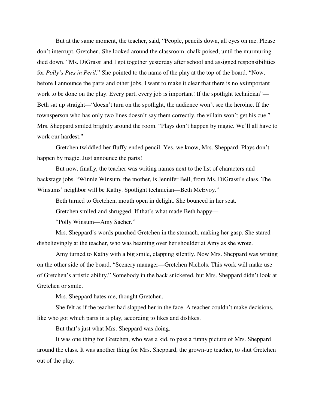But at the same moment, the teacher, said, "People, pencils down, all eyes on me. Please don't interrupt, Gretchen. She looked around the classroom, chalk poised, until the murmuring died down. "Ms. DiGrassi and I got together yesterday after school and assigned responsibilities for *Polly's Pies in Peril.*" She pointed to the name of the play at the top of the board. "Now, before I announce the parts and other jobs, I want to make it clear that there is no *un*important work to be done on the play. Every part, every job is important! If the spotlight technician"— Beth sat up straight—"doesn't turn on the spotlight, the audience won't see the heroine. If the townsperson who has only two lines doesn't say them correctly, the villain won't get his cue." Mrs. Sheppard smiled brightly around the room. "Plays don't happen by magic. We'll all have to work our hardest."

 Gretchen twiddled her fluffy-ended pencil. Yes, we know, Mrs. Sheppard. Plays don't happen by magic. Just announce the parts!

 But now, finally, the teacher was writing names next to the list of characters and backstage jobs. "Winnie Winsum, the mother, is Jennifer Bell, from Ms. DiGrassi's class. The Winsums' neighbor will be Kathy. Spotlight technician—Beth McEvoy."

Beth turned to Gretchen, mouth open in delight. She bounced in her seat.

Gretchen smiled and shrugged. If that's what made Beth happy—

"Polly Winsum—Amy Sacher."

 Mrs. Sheppard's words punched Gretchen in the stomach, making her gasp. She stared disbelievingly at the teacher, who was beaming over her shoulder at Amy as she wrote.

 Amy turned to Kathy with a big smile, clapping silently. Now Mrs. Sheppard was writing on the other side of the board. "Scenery manager—Gretchen Nichols. This work will make use of Gretchen's artistic ability." Somebody in the back snickered, but Mrs. Sheppard didn't look at Gretchen or smile.

Mrs. Sheppard hates me, thought Gretchen.

 She felt as if the teacher had slapped her in the face. A teacher couldn't make decisions, like who got which parts in a play, according to likes and dislikes.

But that's just what Mrs. Sheppard was doing.

 It was one thing for Gretchen, who was a kid, to pass a funny picture of Mrs. Sheppard around the class. It was another thing for Mrs. Sheppard, the grown-up teacher, to shut Gretchen out of the play.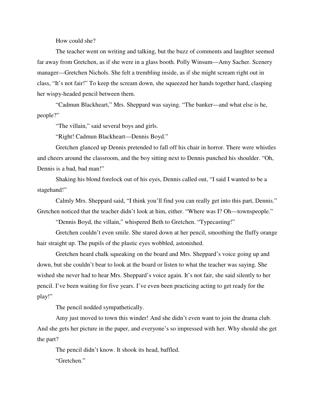How could she?

 The teacher went on writing and talking, but the buzz of comments and laughter seemed far away from Gretchen, as if she were in a glass booth. Polly Winsum—Amy Sacher. Scenery manager—Gretchen Nichols. She felt a trembling inside, as if she might scream right out in class, "It's not fair!" To keep the scream down, she squeezed her hands together hard, clasping her wispy-headed pencil between them.

 "Cadmun Blackheart," Mrs. Sheppard was saying. "The banker—and what else is he, people?"

"The villain," said several boys and girls.

"Right! Cadmun Blackheart—Dennis Boyd."

 Gretchen glanced up Dennis pretended to fall off his chair in horror. There were whistles and cheers around the classroom, and the boy sitting next to Dennis punched his shoulder. "Oh, Dennis is a bad, bad man!"

 Shaking his blond forelock out of his eyes, Dennis called out, "I said I wanted to be a stagehand!"

 Calmly Mrs. Sheppard said, "I think you'll find you can really get into this part, Dennis." Gretchen noticed that the teacher didn't look at him, either. "Where was I? Oh—townspeople."

"Dennis Boyd, the villain," whispered Beth to Gretchen. "Typecasting!"

 Gretchen couldn't even smile. She stared down at her pencil, smoothing the fluffy orange hair straight up. The pupils of the plastic eyes wobbled, astonished.

 Gretchen heard chalk squeaking on the board and Mrs. Sheppard's voice going up and down, but she couldn't bear to look at the board or listen to what the teacher was saying. She wished she never had to hear Mrs. Sheppard's voice again. It's not fair, she said silently to her pencil. I've been waiting for five years. I've even been practicing acting to get ready for the play!"

The pencil nodded sympathetically.

 Amy just moved to town this winder! And she didn't even want to join the drama club. And she gets her picture in the paper, and everyone's so impressed with her. Why should she get the part?

The pencil didn't know. It shook its head, baffled.

"Gretchen."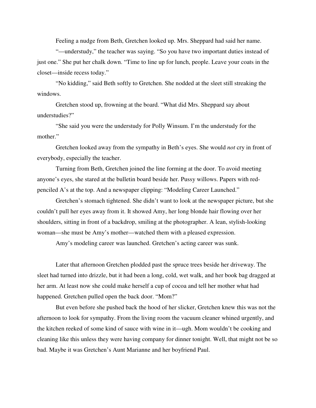Feeling a nudge from Beth, Gretchen looked up. Mrs. Sheppard had said her name.

 "—understudy," the teacher was saying. "So you have two important duties instead of just one." She put her chalk down. "Time to line up for lunch, people. Leave your coats in the closet—inside recess today."

 "No kidding," said Beth softly to Gretchen. She nodded at the sleet still streaking the windows.

 Gretchen stood up, frowning at the board. "What did Mrs. Sheppard say about understudies?"

 "She said you were the understudy for Polly Winsum. I'm the understudy for the mother."

 Gretchen looked away from the sympathy in Beth's eyes. She would *not* cry in front of everybody, especially the teacher.

 Turning from Beth, Gretchen joined the line forming at the door. To avoid meeting anyone's eyes, she stared at the bulletin board beside her. Pussy willows. Papers with redpenciled A's at the top. And a newspaper clipping: "Modeling Career Launched."

 Gretchen's stomach tightened. She didn't want to look at the newspaper picture, but she couldn't pull her eyes away from it. It showed Amy, her long blonde hair flowing over her shoulders, sitting in front of a backdrop, smiling at the photographer. A lean, stylish-looking woman—she must be Amy's mother—watched them with a pleased expression.

Amy's modeling career was launched. Gretchen's acting career was sunk.

 Later that afternoon Gretchen plodded past the spruce trees beside her driveway. The sleet had turned into drizzle, but it had been a long, cold, wet walk, and her book bag dragged at her arm. At least now she could make herself a cup of cocoa and tell her mother what had happened. Gretchen pulled open the back door. "Mom?"

 But even before she pushed back the hood of her slicker, Gretchen knew this was not the afternoon to look for sympathy. From the living room the vacuum cleaner whined urgently, and the kitchen reeked of some kind of sauce with wine in it—ugh. Mom wouldn't be cooking and cleaning like this unless they were having company for dinner tonight. Well, that might not be so bad. Maybe it was Gretchen's Aunt Marianne and her boyfriend Paul.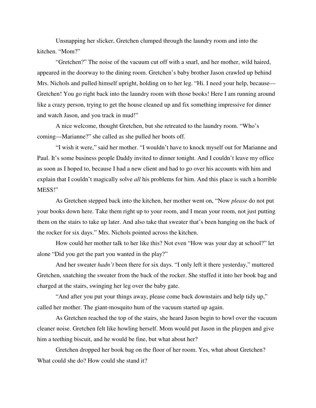Unsnapping her slicker, Gretchen clumped through the laundry room and into the kitchen. "Mom?"

 "Gretchen?" The noise of the vacuum cut off with a snarl, and her mother, wild haired, appeared in the doorway to the dining room. Gretchen's baby brother Jason crawled up behind Mrs. Nichols and pulled himself upright, holding on to her leg. "Hi. I need your help, because— Gretchen! You go right back into the laundry room with those books! Here I am running around like a crazy person, trying to get the house cleaned up and fix something impressive for dinner and watch Jason, and you track in mud!"

 A nice welcome, thought Gretchen, but she retreated to the laundry room. "Who's coming—Marianne?" she called as she pulled her boots off.

 "I wish it were," said her mother. "I wouldn't have to knock myself out for Marianne and Paul. It's some business people Daddy invited to dinner tonight. And I couldn't leave my office as soon as I hoped to, because I had a new client and had to go over his accounts with him and explain that I couldn't magically solve *all* his problems for him. And this place is such a horrible MESS!"

 As Gretchen stepped back into the kitchen, her mother went on, "Now *please* do not put your books down here. Take them right up to your room, and I mean your room, not just putting them on the stairs to take up later. And also take that sweater that's been hanging on the back of the rocker for six days." Mrs. Nichols pointed across the kitchen.

 How could her mother talk to her like this? Not even "How was your day at school?" let alone "Did you get the part you wanted in the play?"

 And her sweater *hadn't* been there for six days. "I only left it there yesterday," muttered Gretchen, snatching the sweater from the back of the rocker. She stuffed it into her book bag and charged at the stairs, swinging her leg over the baby gate.

 "And after you put your things away, please come back downstairs and help tidy up," called her mother. The giant-mosquito hum of the vacuum started up again.

 As Gretchen reached the top of the stairs, she heard Jason begin to howl over the vacuum cleaner noise. Gretchen felt like howling herself. Mom would put Jason in the playpen and give him a teething biscuit, and he would be fine, but what about her?

 Gretchen dropped her book bag on the floor of her room. Yes, what about Gretchen? What could she do? How could she stand it?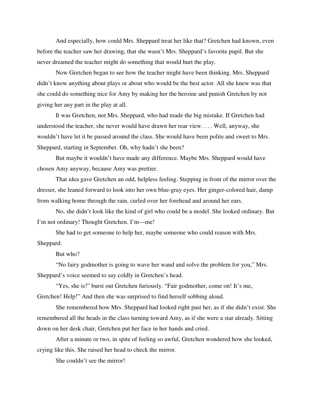And especially, how could Mrs. Sheppard treat her like that? Gretchen had known, even before the teacher saw her drawing, that she wasn't Mrs. Sheppard's favorite pupil. But she never dreamed the teacher might do something that would hurt the play.

 Now Gretchen began to see how the teacher might have been thinking. Mrs. Sheppard didn't know anything about plays or about who would be the best actor. All she knew was that she could do something nice for Amy by making her the heroine and punish Gretchen by not giving her any part in the play at all.

 It was Gretchen, not Mrs. Sheppard, who had made the big mistake. If Gretchen had understood the teacher, she never would have drawn her rear view. . . . Well, anyway, she wouldn't have let it be passed around the class. She would have been polite and sweet to Mrs. Sheppard, starting in September. Oh, why hadn't she been?

 But maybe it wouldn't have made any difference. Maybe Mrs. Sheppard would have chosen Amy anyway, because Amy was prettier.

 That idea gave Gretchen an odd, helpless feeling. Stepping in front of the mirror over the dresser, she leaned forward to look into her own blue-gray eyes. Her ginger-colored hair, damp from walking home through the rain, curled over her forehead and around her ears.

 No, she didn't look like the kind of girl who could be a model. She looked ordinary. But I'm not ordinary! Thought Gretchen. I'm—me!

 She had to get someone to help her, maybe someone who could reason with Mrs. Sheppard.

But who?

 "No fairy godmother is going to wave her wand and solve the problem for you," Mrs. Sheppard's voice seemed to say coldly in Gretchen's head.

 "Yes, she is!" burst out Gretchen furiously. "Fair godmother, come on! It's me, Gretchen! Help!" And then she was surprised to find herself sobbing aloud.

 She remembered how Mrs. Sheppard had looked right past her, as if she didn't exist. She remembered all the heads in the class turning toward Amy, as if she were a star already. Sitting down on her desk chair, Gretchen put her face in her hands and cried.

 After a minute or two, in spite of feeling so awful, Gretchen wondered how she looked, crying like this. She raised her head to check the mirror.

She couldn't see the mirror!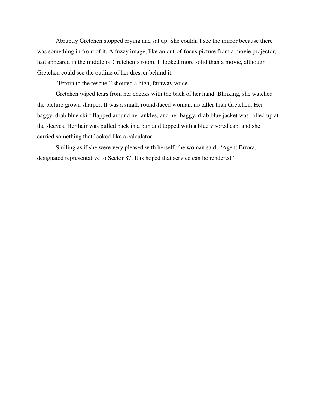Abruptly Gretchen stopped crying and sat up. She couldn't see the mirror because there was something in front of it. A fuzzy image, like an out-of-focus picture from a movie projector, had appeared in the middle of Gretchen's room. It looked more solid than a movie, although Gretchen could see the outline of her dresser behind it.

"Errora to the rescue!" shouted a high, faraway voice.

 Gretchen wiped tears from her cheeks with the back of her hand. Blinking, she watched the picture grown sharper. It was a small, round-faced woman, no taller than Gretchen. Her baggy, drab blue skirt flapped around her ankles, and her baggy, drab blue jacket was rolled up at the sleeves. Her hair was pulled back in a bun and topped with a blue visored cap, and she carried something that looked like a calculator.

 Smiling as if she were very pleased with herself, the woman said, "Agent Errora, designated representative to Sector 87. It is hoped that service can be rendered."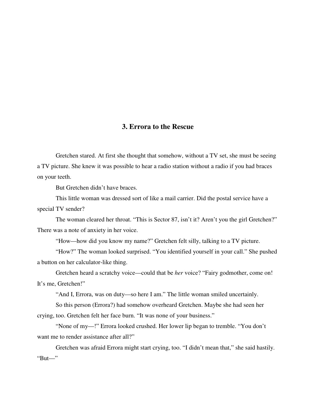## **3. Errora to the Rescue**

 Gretchen stared. At first she thought that somehow, without a TV set, she must be seeing a TV picture. She knew it was possible to hear a radio station without a radio if you had braces on your teeth.

But Gretchen didn't have braces.

 This little woman was dressed sort of like a mail carrier. Did the postal service have a special TV sender?

 The woman cleared her throat. "This is Sector 87, isn't it? Aren't you the girl Gretchen?" There was a note of anxiety in her voice.

"How—how did you know my name?" Gretchen felt silly, talking to a TV picture.

 "How?" The woman looked surprised. "You identified yourself in your call." She pushed a button on her calculator-like thing.

 Gretchen heard a scratchy voice—could that be *her* voice? "Fairy godmother, come on! It's me, Gretchen!"

"And I, Errora, was on duty—so here I am." The little woman smiled uncertainly.

 So this person (Errora?) had somehow overheard Gretchen. Maybe she had seen her crying, too. Gretchen felt her face burn. "It was none of your business."

 "None of my—!" Errora looked crushed. Her lower lip began to tremble. "You don't want me to render assistance after all?"

 Gretchen was afraid Errora might start crying, too. "I didn't mean that," she said hastily. "But—"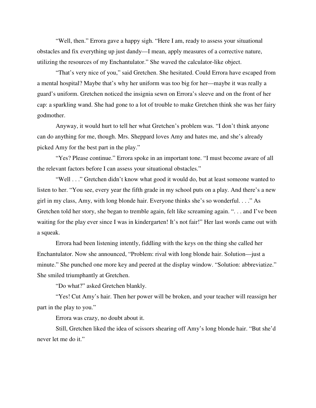"Well, then." Errora gave a happy sigh. "Here I am, ready to assess your situational obstacles and fix everything up just dandy—I mean, apply measures of a corrective nature, utilizing the resources of my Enchantulator." She waved the calculator-like object.

 "That's very nice of you," said Gretchen. She hesitated. Could Errora have escaped from a mental hospital? Maybe that's why her uniform was too big for her—maybe it was really a guard's uniform. Gretchen noticed the insignia sewn on Errora's sleeve and on the front of her cap: a sparkling wand. She had gone to a lot of trouble to make Gretchen think she was her fairy godmother.

 Anyway, it would hurt to tell her what Gretchen's problem was. "I don't think anyone can do anything for me, though. Mrs. Sheppard loves Amy and hates me, and she's already picked Amy for the best part in the play."

 "Yes? Please continue." Errora spoke in an important tone. "I must become aware of all the relevant factors before I can assess your situational obstacles."

 "Well . . ." Gretchen didn't know what good it would do, but at least someone wanted to listen to her. "You see, every year the fifth grade in my school puts on a play. And there's a new girl in my class, Amy, with long blonde hair. Everyone thinks she's so wonderful. . . ." As Gretchen told her story, she began to tremble again, felt like screaming again. ". . . and I've been waiting for the play ever since I was in kindergarten! It's not fair!" Her last words came out with a squeak.

 Errora had been listening intently, fiddling with the keys on the thing she called her Enchantulator. Now she announced, "Problem: rival with long blonde hair. Solution—just a minute." She punched one more key and peered at the display window. "Solution: abbreviatize." She smiled triumphantly at Gretchen.

"Do what?" asked Gretchen blankly.

 "Yes! Cut Amy's hair. Then her power will be broken, and your teacher will reassign her part in the play to you."

Errora was crazy, no doubt about it.

 Still, Gretchen liked the idea of scissors shearing off Amy's long blonde hair. "But she'd never let me do it."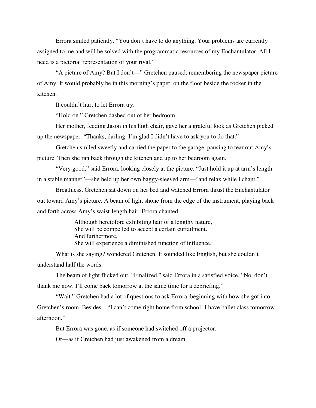Errora smiled patiently. "You don't have to do anything. Your problems are currently assigned to me and will be solved with the programmatic resources of my Enchantulator. All I need is a pictorial representation of your rival."

 "A picture of Amy? But I don't—" Gretchen paused, remembering the newspaper picture of Amy. It would probably be in this morning's paper, on the floor beside the rocker in the kitchen.

It couldn't hurt to let Errora try.

"Hold on." Gretchen dashed out of her bedroom.

 Her mother, feeding Jason in his high chair, gave her a grateful look as Gretchen picked up the newspaper. "Thanks, darling. I'm glad I didn't have to ask you to do that."

 Gretchen smiled sweetly and carried the paper to the garage, pausing to tear out Amy's picture. Then she ran back through the kitchen and up to her bedroom again.

 "Very good," said Errora, looking closely at the picture. "Just hold it up at arm's length in a stable manner"—she held up her own baggy-sleeved arm—"and relax while I chant."

 Breathless, Gretchen sat down on her bed and watched Errora thrust the Enchantulator out toward Amy's picture. A beam of light shone from the edge of the instrument, playing back and forth across Amy's waist-length hair. Errora chanted,

> Although heretofore exhibiting hair of a lengthy nature, She will be compelled to accept a certain curtailment. And furthermore, She will experience a diminished function of influence.

 What is she saying? wondered Gretchen. It sounded like English, but she couldn't understand half the words.

 The beam of light flicked out. "Finalized," said Errora in a satisfied voice. "No, don't thank me now. I'll come back tomorrow at the same time for a debriefing."

 "Wait." Gretchen had a lot of questions to ask Errora, beginning with how she got into Gretchen's room. Besides—"I can't come right home from school! I have ballet class tomorrow afternoon."

But Errora was gone, as if someone had switched off a projector.

Or—as if Gretchen had just awakened from a dream.